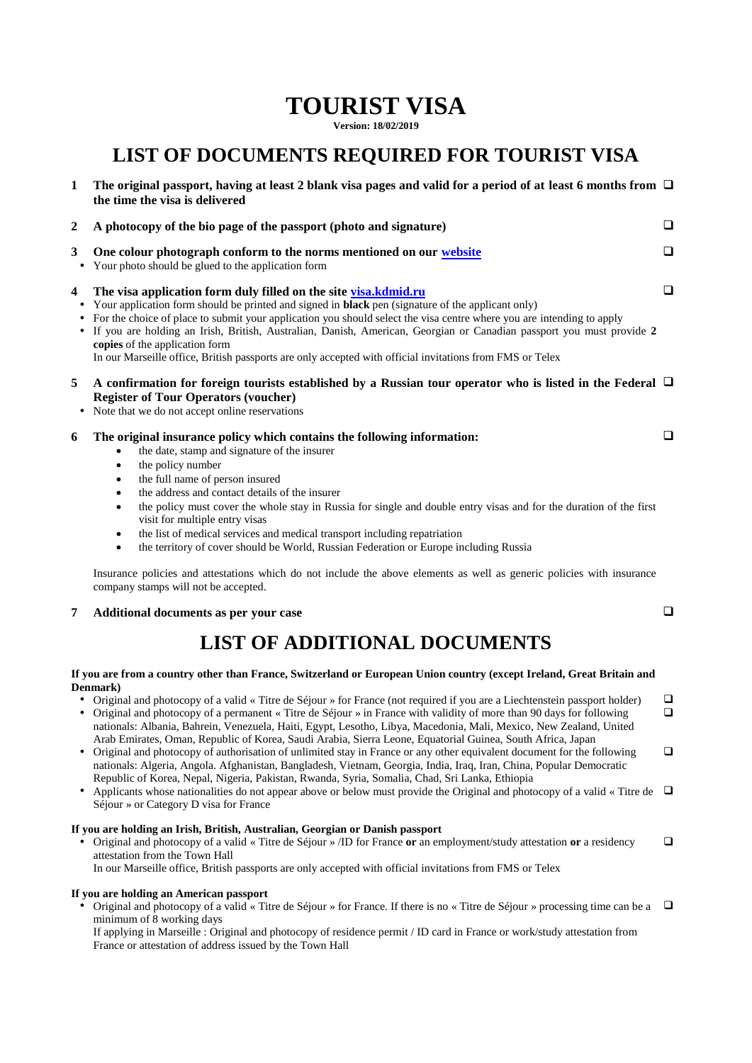# **TOURIST VISA**

**Version: 18/02/2019**

### **LIST OF DOCUMENTS REQUIRED FOR TOURIST VISA**

| the time the visa is delivered                                                                                                                                                                                                                                                                                                                                                                                                                                                                                                                                                                                                                                                                                                                                          |                                                                                                                                                                                                                                                                            |
|-------------------------------------------------------------------------------------------------------------------------------------------------------------------------------------------------------------------------------------------------------------------------------------------------------------------------------------------------------------------------------------------------------------------------------------------------------------------------------------------------------------------------------------------------------------------------------------------------------------------------------------------------------------------------------------------------------------------------------------------------------------------------|----------------------------------------------------------------------------------------------------------------------------------------------------------------------------------------------------------------------------------------------------------------------------|
| A photocopy of the bio page of the passport (photo and signature)                                                                                                                                                                                                                                                                                                                                                                                                                                                                                                                                                                                                                                                                                                       | ⊔                                                                                                                                                                                                                                                                          |
| One colour photograph conform to the norms mentioned on our website<br>Your photo should be glued to the application form                                                                                                                                                                                                                                                                                                                                                                                                                                                                                                                                                                                                                                               | $\Box$                                                                                                                                                                                                                                                                     |
| The visa application form duly filled on the site visa.kdmid.ru<br>Your application form should be printed and signed in <b>black</b> pen (signature of the applicant only)<br>• For the choice of place to submit your application you should select the visa centre where you are intending to apply<br>If you are holding an Irish, British, Australian, Danish, American, Georgian or Canadian passport you must provide 2<br>$\bullet$<br>copies of the application form<br>In our Marseille office, British passports are only accepted with official invitations from FMS or Telex                                                                                                                                                                               | $\Box$                                                                                                                                                                                                                                                                     |
| <b>Register of Tour Operators (voucher)</b><br>Note that we do not accept online reservations                                                                                                                                                                                                                                                                                                                                                                                                                                                                                                                                                                                                                                                                           |                                                                                                                                                                                                                                                                            |
| The original insurance policy which contains the following information:<br>the date, stamp and signature of the insurer<br>the policy number<br>$\bullet$<br>the full name of person insured<br>$\bullet$<br>the address and contact details of the insurer<br>$\bullet$<br>the policy must cover the whole stay in Russia for single and double entry visas and for the duration of the first<br>$\bullet$<br>visit for multiple entry visas<br>the list of medical services and medical transport including repatriation<br>$\bullet$<br>the territory of cover should be World, Russian Federation or Europe including Russia<br>$\bullet$<br>Insurance policies and attestations which do not include the above elements as well as generic policies with insurance | □                                                                                                                                                                                                                                                                          |
| company stamps will not be accepted.                                                                                                                                                                                                                                                                                                                                                                                                                                                                                                                                                                                                                                                                                                                                    |                                                                                                                                                                                                                                                                            |
| Additional documents as per your case                                                                                                                                                                                                                                                                                                                                                                                                                                                                                                                                                                                                                                                                                                                                   | □                                                                                                                                                                                                                                                                          |
|                                                                                                                                                                                                                                                                                                                                                                                                                                                                                                                                                                                                                                                                                                                                                                         | The original passport, having at least 2 blank visa pages and valid for a period of at least 6 months from $\Box$<br>A confirmation for foreign tourists established by a Russian tour operator who is listed in the Federal $\Box$<br><b>LIST OF ADDITIONAL DOCUMENTS</b> |

## **If you are from a country other than France, Switzerland or European Union country (except Ireland, Great Britain and**

### **Denmark)**

• Original and photocopy of a valid « Titre de Séjour » for France (not required if you are a Liechtenstein passport holder)  $\Box$  Original and photocopy of a permanent « Titre de Séjour » in France with validity of more than 90 days for following nationals: Albania, Bahrein, Venezuela, Haiti, Egypt, Lesotho, Libya, Macedonia, Mali, Mexico, New Zealand, United Arab Emirates, Oman, Republic of Korea, Saudi Arabia, Sierra Leone, Equatorial Guinea, South Africa, Japan

 $\Box$ 

 $\Box$ 

- Original and photocopy of authorisation of unlimited stay in France or any other equivalent document for the following nationals: Algeria, Angola. Afghanistan, Bangladesh, Vietnam, Georgia, India, Iraq, Iran, China, Popular Democratic Republic of Korea, Nepal, Nigeria, Pakistan, Rwanda, Syria, Somalia, Chad, Sri Lanka, Ethiopia
- Applicants whose nationalities do not appear above or below must provide the Original and photocopy of a valid « Titre de  $\Box$ Séjour » or Category D visa for France

#### **If you are holding an Irish, British, Australian, Georgian or Danish passport**

 Original and photocopy of a valid « Titre de Séjour » /ID for France **or** an employment/study attestation **or** a residency attestation from the Town Hall  $\Box$ 

In our Marseille office, British passports are only accepted with official invitations from FMS or Telex

#### **If you are holding an American passport**

• Original and photocopy of a valid « Titre de Séjour » for France. If there is no « Titre de Séjour » processing time can be a  $\Box$ minimum of 8 working days

If applying in Marseille : Original and photocopy of residence permit / ID card in France or work/study attestation from France or attestation of address issued by the Town Hall